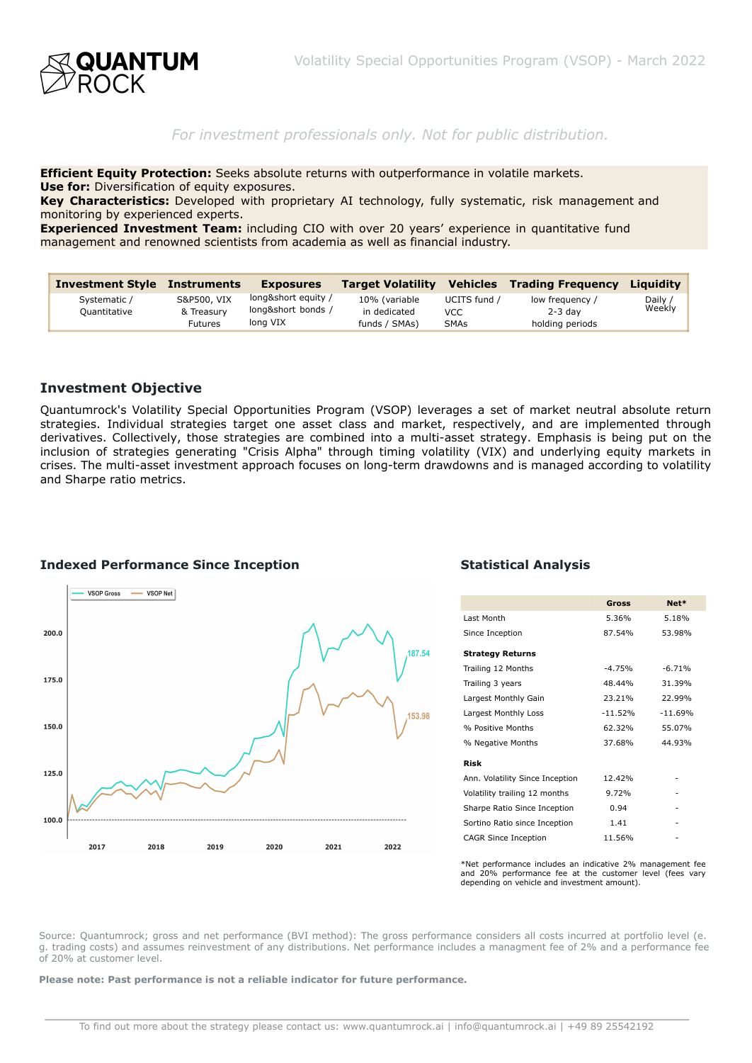

# *For investment professionals only. Not for public distribution.*

**Efficient Equity Protection:** Seeks absolute returns with outperformance in volatile markets. **Use for:** Diversification of equity exposures.

**Key Characteristics:** Developed with proprietary AI technology, fully systematic, risk management and monitoring by experienced experts.

**Experienced Investment Team:** including CIO with over 20 years' experience in quantitative fund management and renowned scientists from academia as well as financial industry.

| <b>Investment Style</b>      | <b>Instruments</b>        | <b>Exposures</b>                                      | <b>Target Volatility</b>      | <b>Vehicles</b>     | <b>Trading Freguency</b>     | Liauidity         |
|------------------------------|---------------------------|-------------------------------------------------------|-------------------------------|---------------------|------------------------------|-------------------|
| Systematic /<br>Ouantitative | S&P500, VIX<br>& Treasury | long&short equity /<br>long&short bonds /<br>long VIX | 10% (variable<br>in dedicated | UCITS fund /<br>VCC | low frequency /<br>$2-3$ day | Daily /<br>Weekly |
|                              | <b>Futures</b>            |                                                       | funds / SMAs)                 | <b>SMAs</b>         | holding periods              |                   |

### **Investment Objective**

Quantumrock's Volatility Special Opportunities Program (VSOP) leverages a set of market neutral absolute return strategies. Individual strategies target one asset class and market, respectively, and are implemented through derivatives. Collectively, those strategies are combined into a multi-asset strategy. Emphasis is being put on the inclusion of strategies generating "Crisis Alpha" through timing volatility (VIX) and underlying equity markets in crises. The multi-asset investment approach focuses on long-term drawdowns and is managed according to volatility and Sharpe ratio metrics.



#### **Indexed Performance Since Inception Statistical Analysis Statistical Analysis**

|                                 | <b>Gross</b> | Net*      |
|---------------------------------|--------------|-----------|
| Last Month                      | 5.36%        | 5.18%     |
| Since Inception                 | 87.54%       | 53.98%    |
| <b>Strategy Returns</b>         |              |           |
| Trailing 12 Months              | $-4.75%$     | $-6.71%$  |
| Trailing 3 years                | 48.44%       | 31.39%    |
| Largest Monthly Gain            | 23.21%       | 22.99%    |
| Largest Monthly Loss            | $-11.52%$    | $-11.69%$ |
| % Positive Months               | 62.32%       | 55.07%    |
| % Negative Months               | 37.68%       | 44.93%    |
| <b>Risk</b>                     |              |           |
| Ann. Volatility Since Inception | 12.42%       |           |
| Volatility trailing 12 months   | 9.72%        |           |
| Sharpe Ratio Since Inception    | 0.94         |           |
| Sortino Ratio since Inception   | 1.41         |           |
| <b>CAGR Since Inception</b>     | 11.56%       |           |

\*Net performance includes an indicative 2% management fee and 20% performance fee at the customer level (fees vary depending on vehicle and investment amount).

Source: Quantumrock; gross and net performance (BVI method): The gross performance considers all costs incurred at portfolio level (e. g. trading costs) and assumes reinvestment of any distributions. Net performance includes a managment fee of 2% and a performance fee of 20% at customer level.

**Please note: Past performance is not a reliable indicator for future performance.**